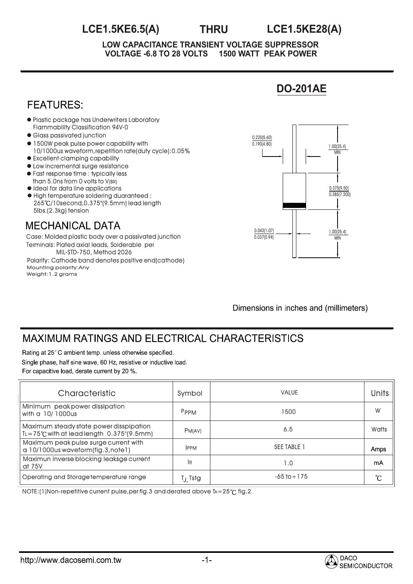**LCE1.5KE6.5(A) THRU LCE1.5KE28(A)**

**DO-201AE**

**LOW CAPACITANCE TRANSIENT VOLTAGE SUPPRESSOR VOLTAGE -6.8 TO 28 VOLTS 1500 WATT PEAK POWER** 

## **FFATURES**

- **Plastic package has Underwriters Laboratory** Fiammability Classification 94V-0
- Glass passivated junction
- 1500W peak pulse power capability with 10/1000us waveform,repetition rate(duty cycle):0.05%
- Excellent clamping capability
- Low incremental surge resistance
- Fast response time : typically less than 5.0ns from 0 volts to V(BR)
- $\bullet$  Ideal for data line applications
- High temperature soldering duaranteed : 265 /10second,0.375"(9.5mm) lead length 5lbs.(2.3kg) tension

### **MECHANICAL DATA**

Mounting polarity:Any Terminals: Plated axial leads, Solderable per MIL-STD-750, Method 2026 Case: Molded plastic body over a passivated junction Polarity: Cathode band denotes positive end(cathode) Weight:1.2 grams

# 0.220(5.60)  $\overline{0.190(4.80)}$   $\Big|$   $\Big|$   $\Big|$   $\Big|$   $\Big|$   $\Big|$   $\Big|$   $\Big|$   $\Big|$   $\Big|$   $\Big|$   $\Big|$   $\Big|$   $\Big|$   $\Big|$   $\Big|$   $\Big|$   $\Big|$   $\Big|$   $\Big|$   $\Big|$   $\Big|$   $\Big|$   $\Big|$   $\Big|$   $\Big|$   $\Big|$   $\Big|$   $\Big|$   $\Big|$   $\Big|$   $\Big|$   $\Big|$   $\Big|$ MIN 0.375(9.50)  $0.285(7.200)$ 0.042(1.07) 0.037(0.94) 1.00(25.4) MIN

Dimensions in inches and (millimeters)

# MAXIMUM RATINGS AND FLECTRICAL CHARACTERISTICS

Rating at 25°C ambient temp. unless otherwise specified.

Single phase, half sine wave, 60 Hz, resistive or inductive load. For capacitive load, derate current by 20 %.

| Characteristic                                                                                            | Symbol                | <b>VALUE</b>       | <b>Units</b> |
|-----------------------------------------------------------------------------------------------------------|-----------------------|--------------------|--------------|
| Minimum peak power dissipation<br>with a 10/1000us                                                        | PPPM                  | 1500               | W            |
| Maximum steady state power disspipation<br>$T = 75^{\circ}$ C with at lead length $0.375^{\circ}$ (9.5mm) | PM(AV)                | 6.5                | Watts        |
| Maximum peak pulse surge current with<br>$a 10/1000$ us waveform $fig.3, note1)$                          | <b>IPPM</b>           | <b>SEE TABLE 1</b> | Amps         |
| Maximun inverse blocking leaksge current<br>at $75V$                                                      | İR                    | 1.0                | mA           |
| Operating and Storage temperature range                                                                   | T <sub>.J.</sub> Tstg | $-65$ to $+175$    | °C           |

NOTE:(1)Non-repetitive current pulse,per fig.3 and derated above TA=25 $\degree$ C fig.2

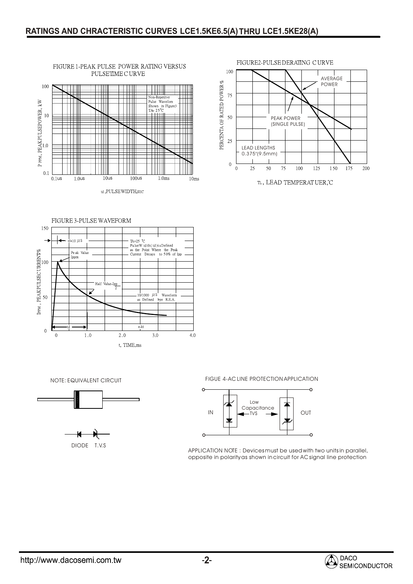











DIODE T.V.S

NOTE: EQUIVALENT CIRCUIT FIGUE 4-AC LINE PROTECTION APPLICATION



APPLICATION NOTE : Devices must be used with two units in parallel, opposite in polarity as shown in circuit for AC signal line protection